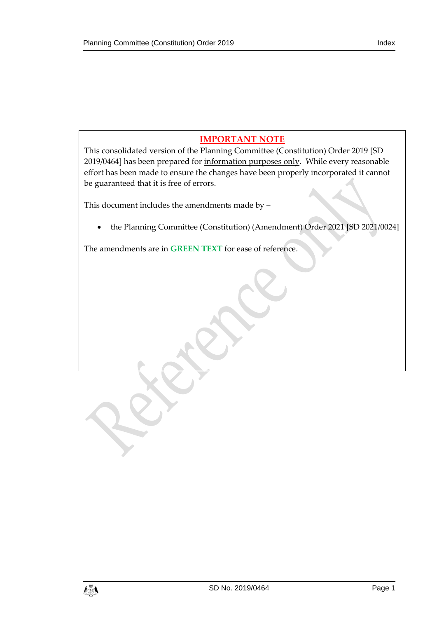# **IMPORTANT NOTE**

This consolidated version of the Planning Committee (Constitution) Order 2019 [SD 2019/0464] has been prepared for information purposes only. While every reasonable effort has been made to ensure the changes have been properly incorporated it cannot be guaranteed that it is free of errors.

This document includes the amendments made by –

the Planning Committee (Constitution) (Amendment) Order 2021 [SD 2021/0024]

The amendments are in **GREEN TEXT** for ease of reference.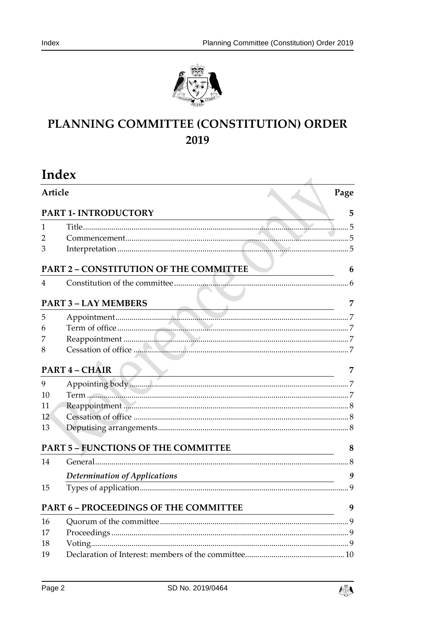



# PLANNING COMMITTEE (CONSTITUTION) ORDER 2019

| Index                           |                                                                                                                                                                                                                                                                                                                                                             |           |
|---------------------------------|-------------------------------------------------------------------------------------------------------------------------------------------------------------------------------------------------------------------------------------------------------------------------------------------------------------------------------------------------------------|-----------|
| Article<br>PART 1- INTRODUCTORY |                                                                                                                                                                                                                                                                                                                                                             | Page<br>5 |
|                                 |                                                                                                                                                                                                                                                                                                                                                             |           |
| $\overline{2}$                  |                                                                                                                                                                                                                                                                                                                                                             |           |
| 3                               |                                                                                                                                                                                                                                                                                                                                                             |           |
|                                 | <b>PART 2 - CONSTITUTION OF THE COMMITTEE</b>                                                                                                                                                                                                                                                                                                               | 6         |
| 4                               |                                                                                                                                                                                                                                                                                                                                                             |           |
|                                 |                                                                                                                                                                                                                                                                                                                                                             |           |
|                                 | <b>PART 3 - LAY MEMBERS</b><br>$\frac{3 - LAT MEMBEKS}{7}$                                                                                                                                                                                                                                                                                                  | 7         |
| 5                               |                                                                                                                                                                                                                                                                                                                                                             |           |
| 6                               |                                                                                                                                                                                                                                                                                                                                                             |           |
| 7                               |                                                                                                                                                                                                                                                                                                                                                             |           |
| 8                               |                                                                                                                                                                                                                                                                                                                                                             |           |
|                                 | <b>PART 4 - CHAIR</b><br>$\overline{y}$ and $\overline{y}$ and $\overline{y}$ and $\overline{y}$ and $\overline{y}$ and $\overline{y}$ and $\overline{y}$ and $\overline{y}$ and $\overline{y}$ and $\overline{y}$ and $\overline{y}$ and $\overline{y}$ and $\overline{y}$ and $\overline{y}$ and $\overline{y}$ and $\overline{y}$ and $\overline{y}$ and | 7         |
| 9                               | Appointing body                                                                                                                                                                                                                                                                                                                                             |           |
| 10                              |                                                                                                                                                                                                                                                                                                                                                             |           |
| 11                              |                                                                                                                                                                                                                                                                                                                                                             |           |
| 12                              |                                                                                                                                                                                                                                                                                                                                                             |           |
| 13                              |                                                                                                                                                                                                                                                                                                                                                             |           |
|                                 | PART 5 - FUNCTIONS OF THE COMMITTEE                                                                                                                                                                                                                                                                                                                         | 8         |
| 14                              |                                                                                                                                                                                                                                                                                                                                                             |           |
|                                 | Determination of Applications                                                                                                                                                                                                                                                                                                                               | 9         |
| 15                              |                                                                                                                                                                                                                                                                                                                                                             | 9         |
|                                 | <b>PART 6 - PROCEEDINGS OF THE COMMITTEE</b>                                                                                                                                                                                                                                                                                                                | 9         |
| 16                              |                                                                                                                                                                                                                                                                                                                                                             |           |
| 17                              |                                                                                                                                                                                                                                                                                                                                                             |           |
| 18                              |                                                                                                                                                                                                                                                                                                                                                             |           |
| 19                              |                                                                                                                                                                                                                                                                                                                                                             |           |

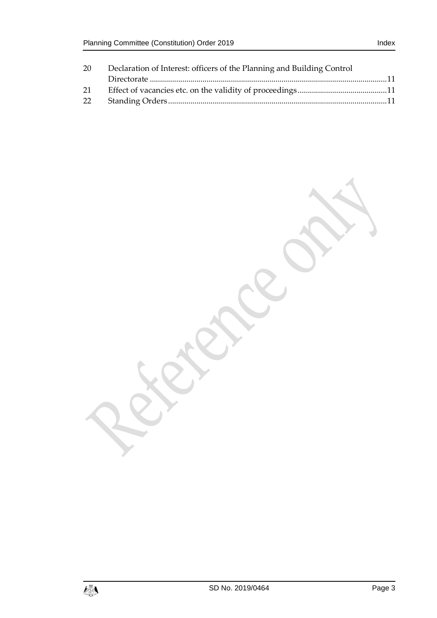| 20 | Declaration of Interest: officers of the Planning and Building Control |  |
|----|------------------------------------------------------------------------|--|
|    |                                                                        |  |
| 21 |                                                                        |  |
| 22 |                                                                        |  |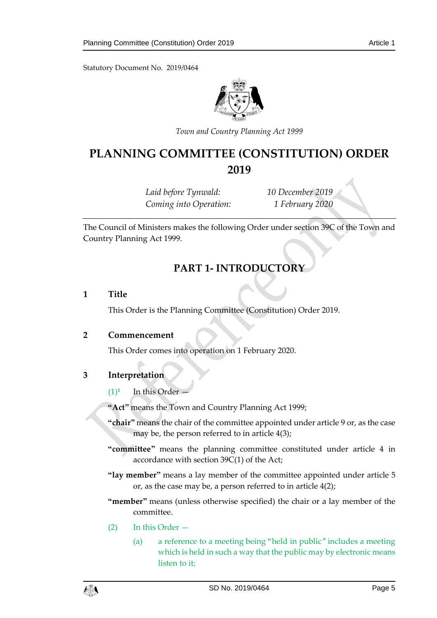Statutory Document No. 2019/0464



*Town and Country Planning Act 1999*

# **PLANNING COMMITTEE (CONSTITUTION) ORDER 2019**

*Laid before Tynwald: 10 December 2019 Coming into Operation: 1 February 2020*

<span id="page-4-0"></span>The Council of Ministers makes the following Order under section 39C of the Town and Country Planning Act 1999.

# **PART 1- INTRODUCTORY**

#### <span id="page-4-1"></span>**1 Title**

This Order is the Planning Committee (Constitution) Order 2019.

#### <span id="page-4-2"></span>**2 Commencement**

This Order comes into operation on 1 February 2020.

## <span id="page-4-3"></span>**3 Interpretation**

 $(1)^1$ In this Order —

**"Act"** means the Town and Country Planning Act 1999;

- **"chair"** means the chair of the committee appointed under article 9 or, as the case may be, the person referred to in article 4(3);
- **"committee"** means the planning committee constituted under article 4 in accordance with section 39C(1) of the Act;
- **"lay member"** means a lay member of the committee appointed under article 5 or, as the case may be, a person referred to in article 4(2);
- **"member"** means (unless otherwise specified) the chair or a lay member of the committee.
- (2) In this Order
	- (a) a reference to a meeting being "held in public" includes a meeting which is held in such a way that the public may by electronic means listen to it;

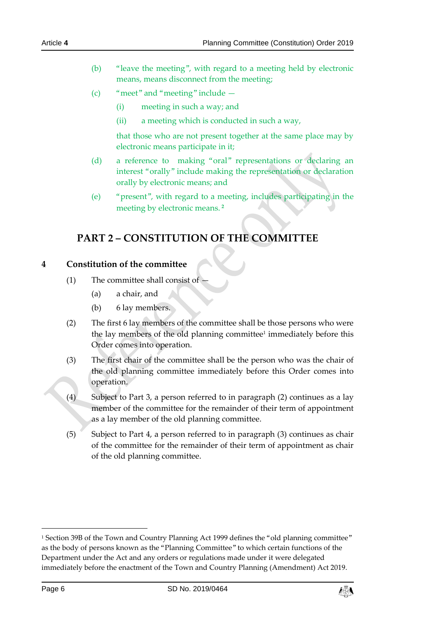- (b) "leave the meeting", with regard to a meeting held by electronic means, means disconnect from the meeting;
- (c) "meet" and "meeting" include
	- (i) meeting in such a way; and
	- (ii) a meeting which is conducted in such a way,

that those who are not present together at the same place may by electronic means participate in it;

- (d) a reference to making "oral" representations or declaring an interest "orally" include making the representation or declaration orally by electronic means; and
- (e) "present", with regard to a meeting, includes participating in the meeting by electronic means. **<sup>2</sup>**

# <span id="page-5-0"></span>**PART 2 – CONSTITUTION OF THE COMMITTEE**

#### <span id="page-5-1"></span>**4 Constitution of the committee**

- $(1)$  The committee shall consist of
	- (a) a chair, and
	- (b) 6 lay members.
- (2) The first 6 lay members of the committee shall be those persons who were the lay members of the old planning committee<sup>1</sup> immediately before this Order comes into operation.
- (3) The first chair of the committee shall be the person who was the chair of the old planning committee immediately before this Order comes into operation.
- (4) Subject to Part 3, a person referred to in paragraph (2) continues as a lay member of the committee for the remainder of their term of appointment as a lay member of the old planning committee.
- (5) Subject to Part 4, a person referred to in paragraph (3) continues as chair of the committee for the remainder of their term of appointment as chair of the old planning committee.

-



<sup>1</sup> Section 39B of the Town and Country Planning Act 1999 defines the "old planning committee" as the body of persons known as the "Planning Committee" to which certain functions of the Department under the Act and any orders or regulations made under it were delegated immediately before the enactment of the Town and Country Planning (Amendment) Act 2019.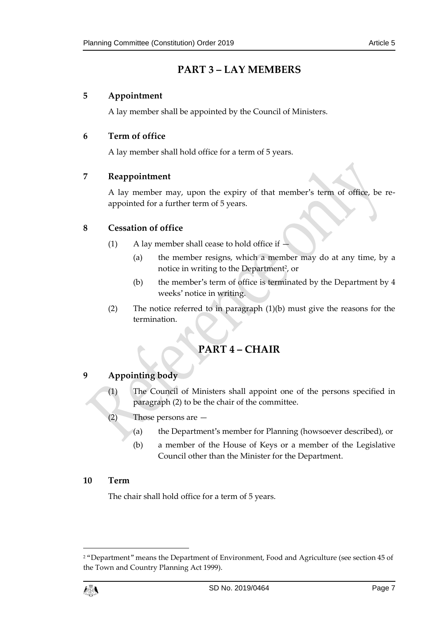# **PART 3 – LAY MEMBERS**

# <span id="page-6-1"></span><span id="page-6-0"></span>**5 Appointment**

A lay member shall be appointed by the Council of Ministers.

# <span id="page-6-2"></span>**6 Term of office**

A lay member shall hold office for a term of 5 years.

## <span id="page-6-3"></span>**7 Reappointment**

A lay member may, upon the expiry of that member's term of office, be reappointed for a further term of 5 years.

## <span id="page-6-4"></span>**8 Cessation of office**

- (1) A lay member shall cease to hold office if  $-$ 
	- (a) the member resigns, which a member may do at any time, by a notice in writing to the Department<sup>2</sup>, or
	- (b) the member's term of office is terminated by the Department by 4 weeks' notice in writing.
- <span id="page-6-5"></span>(2) The notice referred to in paragraph (1)(b) must give the reasons for the termination.

# **PART 4 – CHAIR**

## <span id="page-6-6"></span>**9 Appointing body**

- (1) The Council of Ministers shall appoint one of the persons specified in paragraph (2) to be the chair of the committee.
- $(2)$  Those persons are  $-$ 
	- (a) the Department's member for Planning (howsoever described), or
	- (b) a member of the House of Keys or a member of the Legislative Council other than the Minister for the Department.

## <span id="page-6-7"></span>**10 Term**

The chair shall hold office for a term of 5 years.

<sup>2</sup> "Department" means the Department of Environment, Food and Agriculture (see section 45 of the Town and Country Planning Act 1999).



1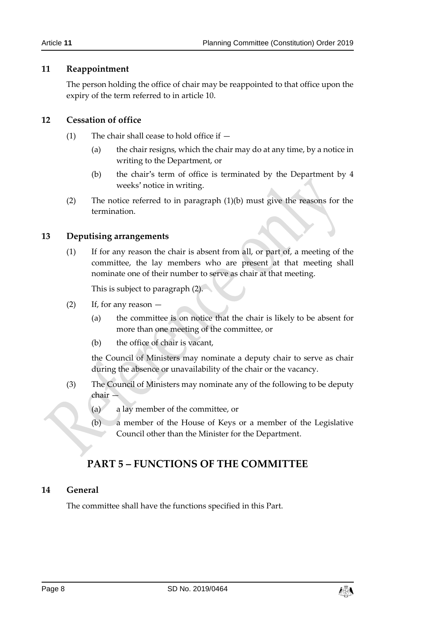#### <span id="page-7-0"></span>**11 Reappointment**

The person holding the office of chair may be reappointed to that office upon the expiry of the term referred to in article 10.

#### <span id="page-7-1"></span>**12 Cessation of office**

- (1) The chair shall cease to hold office if  $-$ 
	- (a) the chair resigns, which the chair may do at any time, by a notice in writing to the Department, or
	- (b) the chair's term of office is terminated by the Department by 4 weeks' notice in writing.
- (2) The notice referred to in paragraph (1)(b) must give the reasons for the termination.

#### <span id="page-7-2"></span>**13 Deputising arrangements**

(1) If for any reason the chair is absent from all, or part of, a meeting of the committee, the lay members who are present at that meeting shall nominate one of their number to serve as chair at that meeting.

This is subject to paragraph (2).

- $(2)$  If, for any reason  $-$ 
	- (a) the committee is on notice that the chair is likely to be absent for more than one meeting of the committee, or
	- (b) the office of chair is vacant,

the Council of Ministers may nominate a deputy chair to serve as chair during the absence or unavailability of the chair or the vacancy.

- (3) The Council of Ministers may nominate any of the following to be deputy chair —
	- (a) a lay member of the committee, or
	- (b) a member of the House of Keys or a member of the Legislative Council other than the Minister for the Department.

# **PART 5 – FUNCTIONS OF THE COMMITTEE**

#### <span id="page-7-4"></span><span id="page-7-3"></span>**14 General**

The committee shall have the functions specified in this Part.

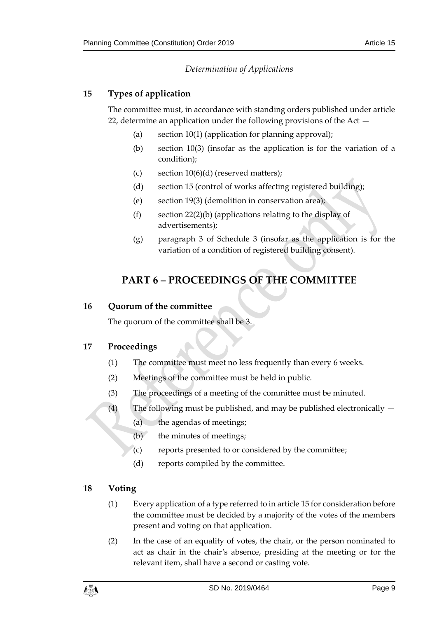# *Determination of Applications*

# <span id="page-8-1"></span><span id="page-8-0"></span>**15 Types of application**

The committee must, in accordance with standing orders published under article 22, determine an application under the following provisions of the Act —

- (a) section  $10(1)$  (application for planning approval);
- (b) section 10(3) (insofar as the application is for the variation of a condition);
- (c) section  $10(6)(d)$  (reserved matters);
- (d) section 15 (control of works affecting registered building);
- (e) section 19(3) (demolition in conservation area);
- (f) section 22(2)(b) (applications relating to the display of advertisements);
- (g) paragraph 3 of Schedule 3 (insofar as the application is for the variation of a condition of registered building consent).

# <span id="page-8-2"></span>**PART 6 – PROCEEDINGS OF THE COMMITTEE**

#### <span id="page-8-3"></span>**16 Quorum of the committee**

The quorum of the committee shall be 3.

#### <span id="page-8-4"></span>**17 Proceedings**

- (1) The committee must meet no less frequently than every 6 weeks.
- (2) Meetings of the committee must be held in public.
- (3) The proceedings of a meeting of the committee must be minuted.
- (4) The following must be published, and may be published electronically
	- (a) the agendas of meetings;
		- (b) the minutes of meetings;
	- (c) reports presented to or considered by the committee;
	- (d) reports compiled by the committee.

## <span id="page-8-5"></span>**18 Voting**

- (1) Every application of a type referred to in article 15 for consideration before the committee must be decided by a majority of the votes of the members present and voting on that application.
- (2) In the case of an equality of votes, the chair, or the person nominated to act as chair in the chair's absence, presiding at the meeting or for the relevant item, shall have a second or casting vote.

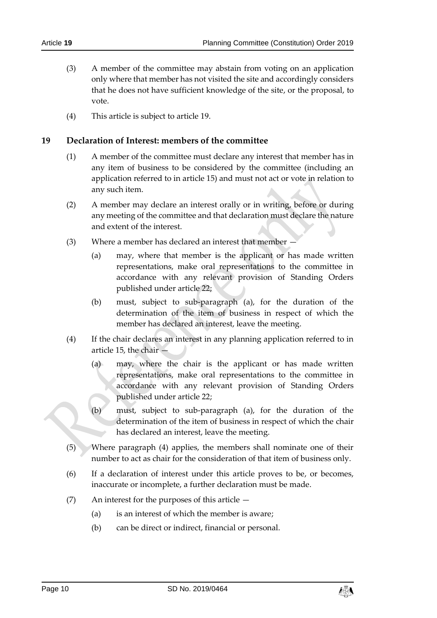- (3) A member of the committee may abstain from voting on an application only where that member has not visited the site and accordingly considers that he does not have sufficient knowledge of the site, or the proposal, to vote.
- (4) This article is subject to article 19.

#### <span id="page-9-0"></span>**19 Declaration of Interest: members of the committee**

- (1) A member of the committee must declare any interest that member has in any item of business to be considered by the committee (including an application referred to in article 15) and must not act or vote in relation to any such item.
- (2) A member may declare an interest orally or in writing, before or during any meeting of the committee and that declaration must declare the nature and extent of the interest.
- (3) Where a member has declared an interest that member
	- (a) may, where that member is the applicant or has made written representations, make oral representations to the committee in accordance with any relevant provision of Standing Orders published under article 22;
	- (b) must, subject to sub-paragraph (a), for the duration of the determination of the item of business in respect of which the member has declared an interest, leave the meeting.
- (4) If the chair declares an interest in any planning application referred to in article 15, the chair  $-$ 
	- (a) may, where the chair is the applicant or has made written representations, make oral representations to the committee in accordance with any relevant provision of Standing Orders published under article 22;
	- (b) must, subject to sub-paragraph (a), for the duration of the determination of the item of business in respect of which the chair has declared an interest, leave the meeting.
- (5) Where paragraph (4) applies, the members shall nominate one of their number to act as chair for the consideration of that item of business only.
- (6) If a declaration of interest under this article proves to be, or becomes, inaccurate or incomplete, a further declaration must be made.
- (7) An interest for the purposes of this article
	- (a) is an interest of which the member is aware;
	- (b) can be direct or indirect, financial or personal.

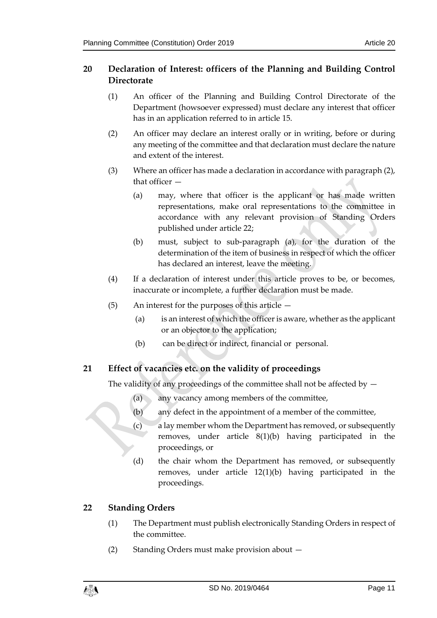# <span id="page-10-0"></span>**20 Declaration of Interest: officers of the Planning and Building Control Directorate**

- (1) An officer of the Planning and Building Control Directorate of the Department (howsoever expressed) must declare any interest that officer has in an application referred to in article 15.
- (2) An officer may declare an interest orally or in writing, before or during any meeting of the committee and that declaration must declare the nature and extent of the interest.
- (3) Where an officer has made a declaration in accordance with paragraph (2), that officer —
	- (a) may, where that officer is the applicant or has made written representations, make oral representations to the committee in accordance with any relevant provision of Standing Orders published under article 22;
	- (b) must, subject to sub-paragraph (a), for the duration of the determination of the item of business in respect of which the officer has declared an interest, leave the meeting.
- (4) If a declaration of interest under this article proves to be, or becomes, inaccurate or incomplete, a further declaration must be made.
- (5) An interest for the purposes of this article
	- (a) is an interest of which the officer is aware, whether as the applicant or an objector to the application;
	- (b) can be direct or indirect, financial or personal.

# <span id="page-10-1"></span>**21 Effect of vacancies etc. on the validity of proceedings**

The validity of any proceedings of the committee shall not be affected by  $-$ 

- (a) any vacancy among members of the committee,
- (b) any defect in the appointment of a member of the committee,
- (c) a lay member whom the Department has removed, or subsequently removes, under article 8(1)(b) having participated in the proceedings, or
- (d) the chair whom the Department has removed, or subsequently removes, under article 12(1)(b) having participated in the proceedings.

## <span id="page-10-2"></span>**22 Standing Orders**

- (1) The Department must publish electronically Standing Orders in respect of the committee.
- (2) Standing Orders must make provision about —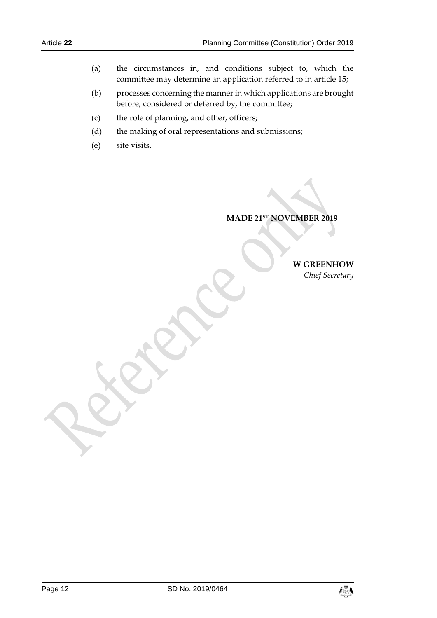- (a) the circumstances in, and conditions subject to, which the committee may determine an application referred to in article 15;
- (b) processes concerning the manner in which applications are brought before, considered or deferred by, the committee;
- (c) the role of planning, and other, officers;
- (d) the making of oral representations and submissions;
- (e) site visits.

**MADE 21ST NOVEMBER 2019**

**W GREENHOW**

*Chief Secretary*